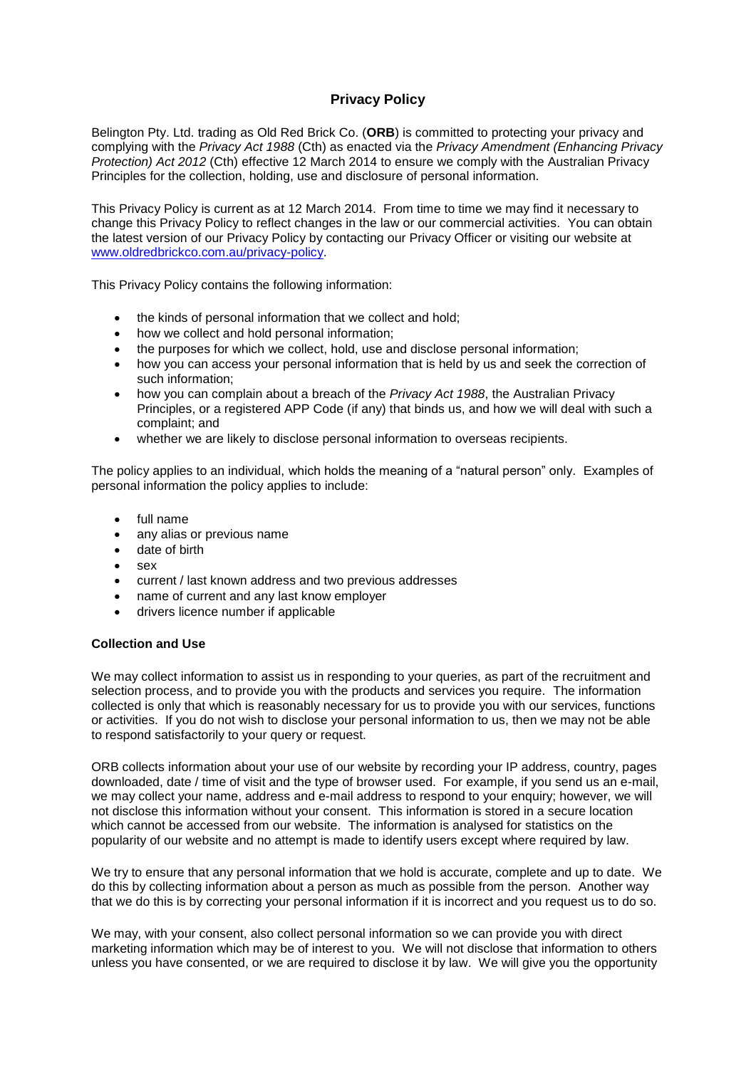# **Privacy Policy**

Belington Pty. Ltd. trading as Old Red Brick Co. (**ORB**) is committed to protecting your privacy and complying with the *Privacy Act 1988* (Cth) as enacted via the *Privacy Amendment (Enhancing Privacy Protection) Act 2012* (Cth) effective 12 March 2014 to ensure we comply with the Australian Privacy Principles for the collection, holding, use and disclosure of personal information.

This Privacy Policy is current as at 12 March 2014. From time to time we may find it necessary to change this Privacy Policy to reflect changes in the law or our commercial activities. You can obtain the latest version of our Privacy Policy by contacting our Privacy Officer or visiting our website at [www.oldredbrickco.com.au/privacy-policy.](http://www.oldredbrickco.com.au/privacy-policy)

This Privacy Policy contains the following information:

- the kinds of personal information that we collect and hold;
- how we collect and hold personal information;
- the purposes for which we collect, hold, use and disclose personal information;
- how you can access your personal information that is held by us and seek the correction of such information;
- how you can complain about a breach of the *Privacy Act 1988*, the Australian Privacy Principles, or a registered APP Code (if any) that binds us, and how we will deal with such a complaint; and
- whether we are likely to disclose personal information to overseas recipients.

The policy applies to an individual, which holds the meaning of a "natural person" only. Examples of personal information the policy applies to include:

- full name
- any alias or previous name
- date of birth
- $s$ ex
- current / last known address and two previous addresses
- name of current and any last know employer
- drivers licence number if applicable

## **Collection and Use**

We may collect information to assist us in responding to your queries, as part of the recruitment and selection process, and to provide you with the products and services you require. The information collected is only that which is reasonably necessary for us to provide you with our services, functions or activities. If you do not wish to disclose your personal information to us, then we may not be able to respond satisfactorily to your query or request.

ORB collects information about your use of our website by recording your IP address, country, pages downloaded, date / time of visit and the type of browser used. For example, if you send us an e-mail, we may collect your name, address and e-mail address to respond to your enquiry; however, we will not disclose this information without your consent. This information is stored in a secure location which cannot be accessed from our website. The information is analysed for statistics on the popularity of our website and no attempt is made to identify users except where required by law.

We try to ensure that any personal information that we hold is accurate, complete and up to date. We do this by collecting information about a person as much as possible from the person. Another way that we do this is by correcting your personal information if it is incorrect and you request us to do so.

We may, with your consent, also collect personal information so we can provide you with direct marketing information which may be of interest to you. We will not disclose that information to others unless you have consented, or we are required to disclose it by law. We will give you the opportunity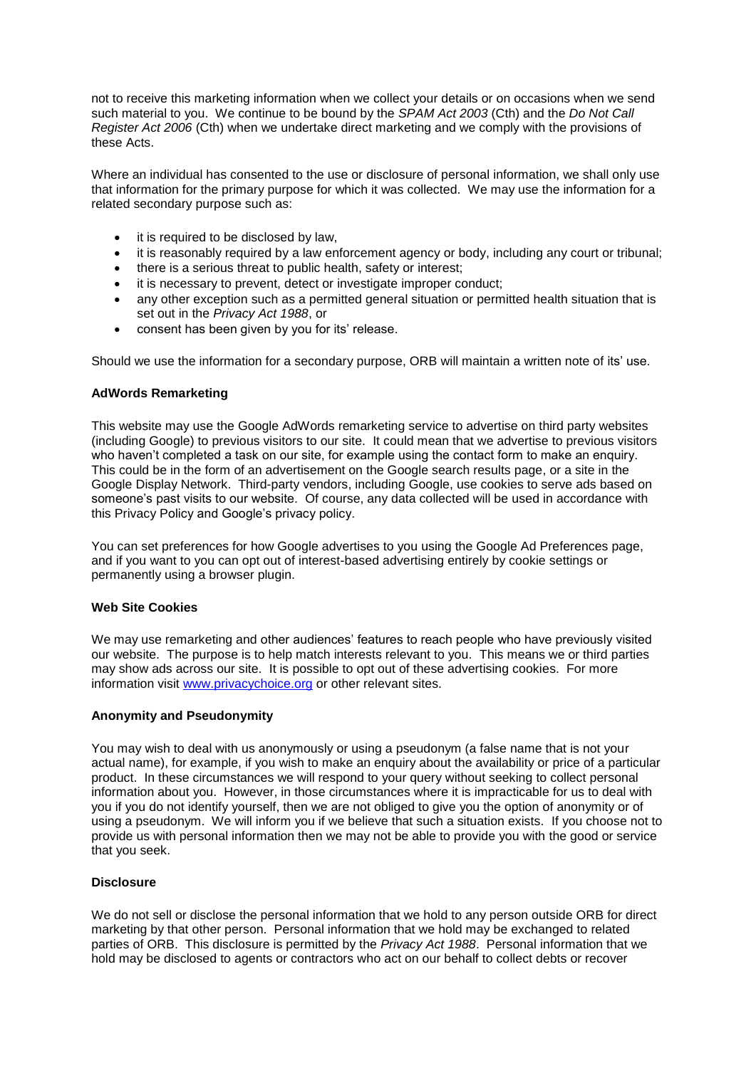not to receive this marketing information when we collect your details or on occasions when we send such material to you. We continue to be bound by the *SPAM Act 2003* (Cth) and the *Do Not Call Register Act 2006* (Cth) when we undertake direct marketing and we comply with the provisions of these Acts.

Where an individual has consented to the use or disclosure of personal information, we shall only use that information for the primary purpose for which it was collected. We may use the information for a related secondary purpose such as:

- it is required to be disclosed by law,
- it is reasonably required by a law enforcement agency or body, including any court or tribunal;
- there is a serious threat to public health, safety or interest;
- it is necessary to prevent, detect or investigate improper conduct;
- any other exception such as a permitted general situation or permitted health situation that is set out in the *Privacy Act 1988*, or
- consent has been given by you for its' release.

Should we use the information for a secondary purpose, ORB will maintain a written note of its' use.

## **AdWords Remarketing**

This website may use the Google AdWords remarketing service to advertise on third party websites (including Google) to previous visitors to our site. It could mean that we advertise to previous visitors who haven't completed a task on our site, for example using the contact form to make an enquiry. This could be in the form of an advertisement on the Google search results page, or a site in the Google Display Network. Third-party vendors, including Google, use cookies to serve ads based on someone's past visits to our website. Of course, any data collected will be used in accordance with this Privacy Policy and Google's privacy policy.

You can set preferences for how Google advertises to you using the Google Ad Preferences page, and if you want to you can opt out of interest-based advertising entirely by cookie settings or permanently using a browser plugin.

#### **Web Site Cookies**

We may use remarketing and other audiences' features to reach people who have previously visited our website. The purpose is to help match interests relevant to you. This means we or third parties may show ads across our site. It is possible to opt out of these advertising cookies. For more information visit [www.privacychoice.org](http://www.privacychoice.org/) or other relevant sites.

## **Anonymity and Pseudonymity**

You may wish to deal with us anonymously or using a pseudonym (a false name that is not your actual name), for example, if you wish to make an enquiry about the availability or price of a particular product. In these circumstances we will respond to your query without seeking to collect personal information about you. However, in those circumstances where it is impracticable for us to deal with you if you do not identify yourself, then we are not obliged to give you the option of anonymity or of using a pseudonym. We will inform you if we believe that such a situation exists. If you choose not to provide us with personal information then we may not be able to provide you with the good or service that you seek.

## **Disclosure**

We do not sell or disclose the personal information that we hold to any person outside ORB for direct marketing by that other person. Personal information that we hold may be exchanged to related parties of ORB. This disclosure is permitted by the *Privacy Act 1988*. Personal information that we hold may be disclosed to agents or contractors who act on our behalf to collect debts or recover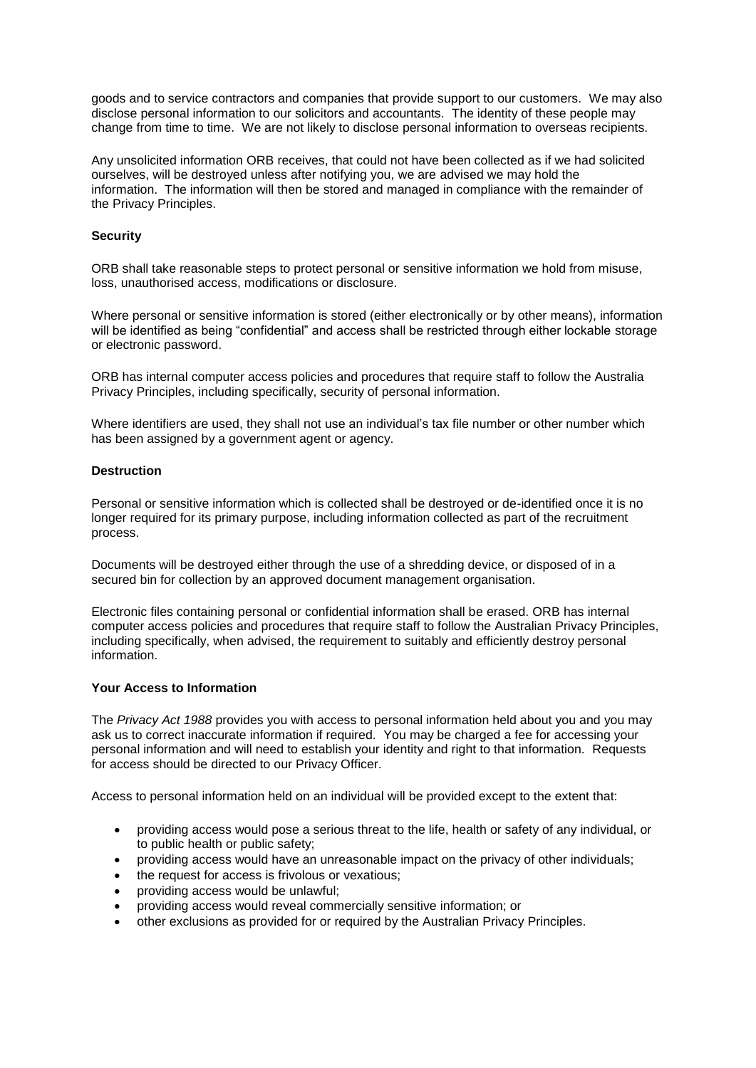goods and to service contractors and companies that provide support to our customers. We may also disclose personal information to our solicitors and accountants. The identity of these people may change from time to time. We are not likely to disclose personal information to overseas recipients.

Any unsolicited information ORB receives, that could not have been collected as if we had solicited ourselves, will be destroyed unless after notifying you, we are advised we may hold the information. The information will then be stored and managed in compliance with the remainder of the Privacy Principles.

### **Security**

ORB shall take reasonable steps to protect personal or sensitive information we hold from misuse, loss, unauthorised access, modifications or disclosure.

Where personal or sensitive information is stored (either electronically or by other means), information will be identified as being "confidential" and access shall be restricted through either lockable storage or electronic password.

ORB has internal computer access policies and procedures that require staff to follow the Australia Privacy Principles, including specifically, security of personal information.

Where identifiers are used, they shall not use an individual's tax file number or other number which has been assigned by a government agent or agency.

### **Destruction**

Personal or sensitive information which is collected shall be destroyed or de-identified once it is no longer required for its primary purpose, including information collected as part of the recruitment process.

Documents will be destroyed either through the use of a shredding device, or disposed of in a secured bin for collection by an approved document management organisation.

Electronic files containing personal or confidential information shall be erased. ORB has internal computer access policies and procedures that require staff to follow the Australian Privacy Principles, including specifically, when advised, the requirement to suitably and efficiently destroy personal information.

#### **Your Access to Information**

The *Privacy Act 1988* provides you with access to personal information held about you and you may ask us to correct inaccurate information if required. You may be charged a fee for accessing your personal information and will need to establish your identity and right to that information. Requests for access should be directed to our Privacy Officer.

Access to personal information held on an individual will be provided except to the extent that:

- providing access would pose a serious threat to the life, health or safety of any individual, or to public health or public safety;
- providing access would have an unreasonable impact on the privacy of other individuals;
- the request for access is frivolous or vexatious;
- providing access would be unlawful;
- providing access would reveal commercially sensitive information; or
- other exclusions as provided for or required by the Australian Privacy Principles.